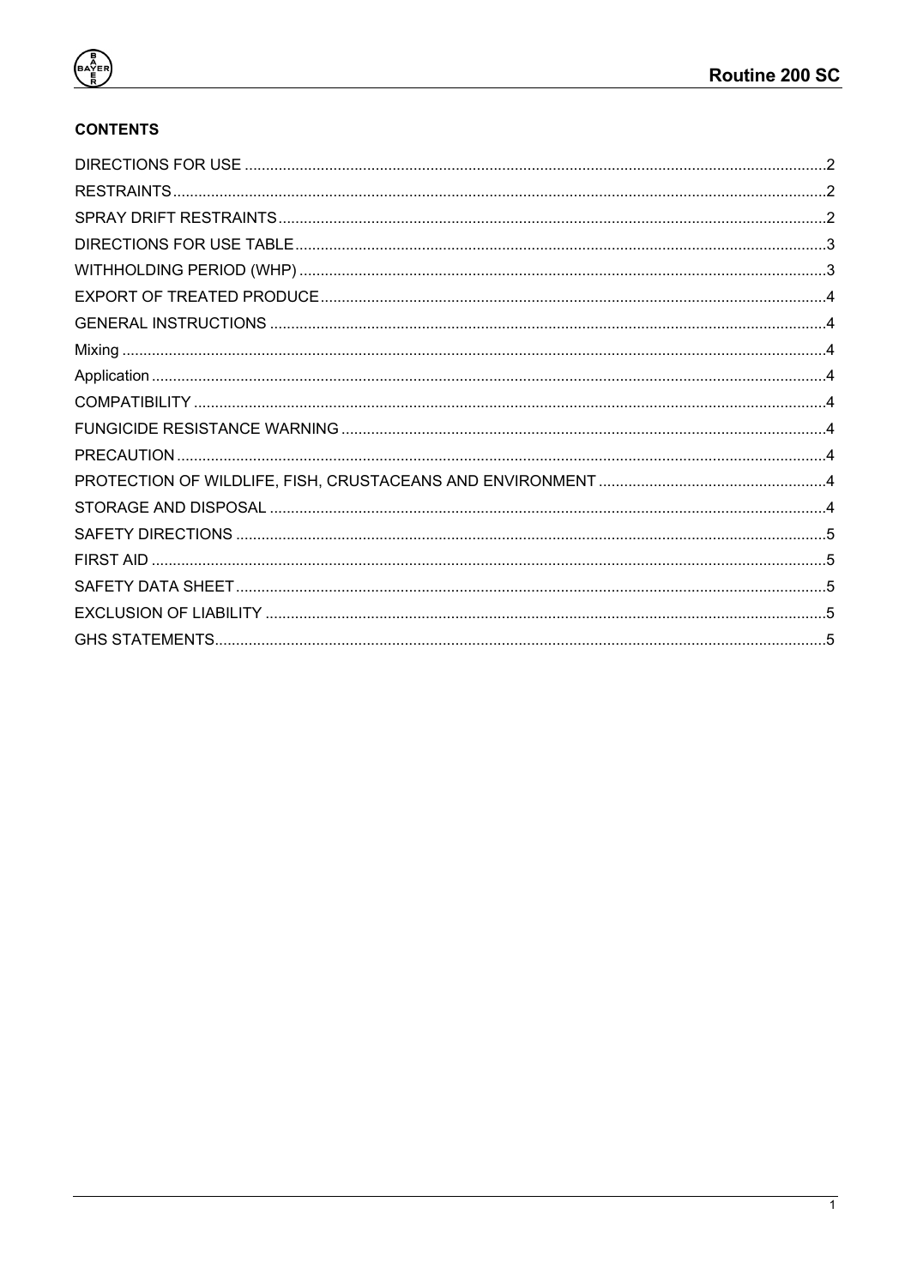

 $\begin{pmatrix}\n\frac{1}{2} \\
\frac{1}{2} \\
\frac{1}{2} \\
\frac{1}{2}\n\end{pmatrix}$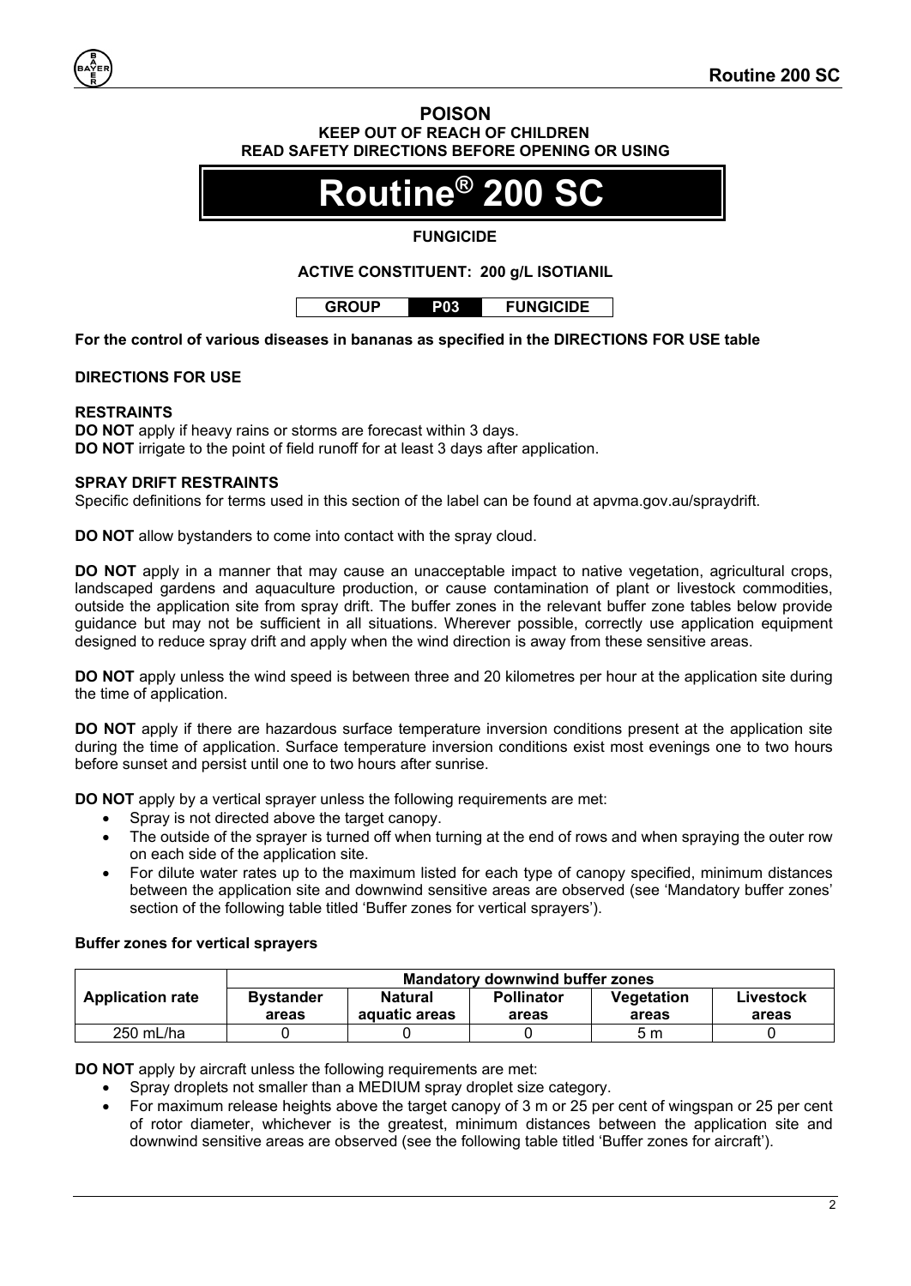## **POISON KEEP OUT OF REACH OF CHILDREN READ SAFETY DIRECTIONS BEFORE OPENING OR USING**

# **Routine® 200 SC**

## **FUNGICIDE**

## **ACTIVE CONSTITUENT: 200 g/L ISOTIANIL**

**For the control of various diseases in bananas as specified in the DIRECTIONS FOR USE table**

#### <span id="page-1-0"></span>**DIRECTIONS FOR USE**

### <span id="page-1-1"></span>**RESTRAINTS**

**DO NOT** apply if heavy rains or storms are forecast within 3 days. **DO NOT** irrigate to the point of field runoff for at least 3 days after application.

#### <span id="page-1-2"></span>**SPRAY DRIFT RESTRAINTS**

Specific definitions for terms used in this section of the label can be found at apvma.gov.au/spraydrift.

**DO NOT** allow bystanders to come into contact with the spray cloud.

**DO NOT** apply in a manner that may cause an unacceptable impact to native vegetation, agricultural crops, landscaped gardens and aquaculture production, or cause contamination of plant or livestock commodities, outside the application site from spray drift. The buffer zones in the relevant buffer zone tables below provide guidance but may not be sufficient in all situations. Wherever possible, correctly use application equipment designed to reduce spray drift and apply when the wind direction is away from these sensitive areas.

**DO NOT** apply unless the wind speed is between three and 20 kilometres per hour at the application site during the time of application.

**DO NOT** apply if there are hazardous surface temperature inversion conditions present at the application site during the time of application. Surface temperature inversion conditions exist most evenings one to two hours before sunset and persist until one to two hours after sunrise.

**DO NOT** apply by a vertical sprayer unless the following requirements are met:

- Spray is not directed above the target canopy.
- The outside of the sprayer is turned off when turning at the end of rows and when spraying the outer row on each side of the application site.
- For dilute water rates up to the maximum listed for each type of canopy specified, minimum distances between the application site and downwind sensitive areas are observed (see 'Mandatory buffer zones' section of the following table titled 'Buffer zones for vertical sprayers').

### **Buffer zones for vertical sprayers**

|                         | <b>Mandatory downwind buffer zones</b> |                          |                            |                     |                    |  |
|-------------------------|----------------------------------------|--------------------------|----------------------------|---------------------|--------------------|--|
| <b>Application rate</b> | <b>Bystander</b><br>areas              | Natural<br>aquatic areas | <b>Pollinator</b><br>areas | Vegetation<br>areas | Livestock<br>areas |  |
| $250$ mL/ha             |                                        |                          |                            | 5m                  |                    |  |

**DO NOT** apply by aircraft unless the following requirements are met:

- Spray droplets not smaller than a MEDIUM spray droplet size category.
	- For maximum release heights above the target canopy of 3 m or 25 per cent of wingspan or 25 per cent of rotor diameter, whichever is the greatest, minimum distances between the application site and downwind sensitive areas are observed (see the following table titled 'Buffer zones for aircraft').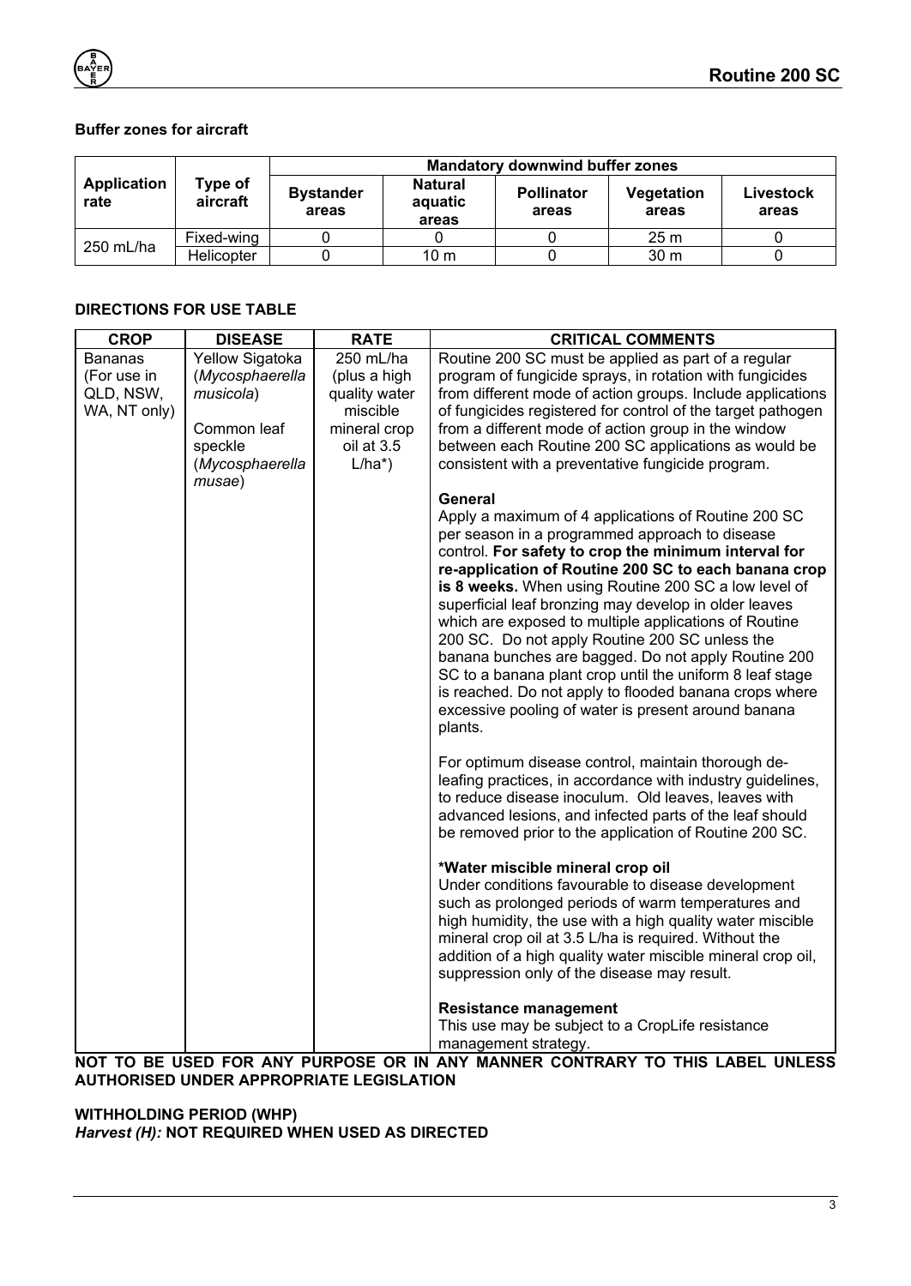## **Buffer zones for aircraft**

|                     |                     | <b>Mandatory downwind buffer zones</b> |                                    |                            |                     |                    |
|---------------------|---------------------|----------------------------------------|------------------------------------|----------------------------|---------------------|--------------------|
| Application<br>rate | Type of<br>aircraft | <b>Bystander</b><br>areas              | <b>Natural</b><br>aquatic<br>areas | <b>Pollinator</b><br>areas | Vegetation<br>areas | Livestock<br>areas |
| 250 mL/ha           | Fixed-wing          |                                        |                                    |                            | 25 <sub>m</sub>     |                    |
|                     | Helicopter          |                                        | 10 m                               |                            | 30 <sub>m</sub>     |                    |

## <span id="page-2-0"></span>**DIRECTIONS FOR USE TABLE**

| <b>CROP</b>    | <b>DISEASE</b>            | <b>RATE</b>   | <b>CRITICAL COMMENTS</b>                                                                                |
|----------------|---------------------------|---------------|---------------------------------------------------------------------------------------------------------|
| <b>Bananas</b> | Yellow Sigatoka           | 250 mL/ha     | Routine 200 SC must be applied as part of a regular                                                     |
| (For use in    | (Mycosphaerella           | (plus a high  | program of fungicide sprays, in rotation with fungicides                                                |
| QLD, NSW,      | musicola)                 | quality water | from different mode of action groups. Include applications                                              |
| WA, NT only)   |                           | miscible      | of fungicides registered for control of the target pathogen                                             |
|                | Common leaf               | mineral crop  | from a different mode of action group in the window                                                     |
|                | speckle                   | oil at 3.5    | between each Routine 200 SC applications as would be                                                    |
|                | (Mycosphaerella<br>musae) | $L/ha^*$ )    | consistent with a preventative fungicide program.                                                       |
|                |                           |               | General                                                                                                 |
|                |                           |               | Apply a maximum of 4 applications of Routine 200 SC                                                     |
|                |                           |               | per season in a programmed approach to disease                                                          |
|                |                           |               | control. For safety to crop the minimum interval for                                                    |
|                |                           |               | re-application of Routine 200 SC to each banana crop                                                    |
|                |                           |               | is 8 weeks. When using Routine 200 SC a low level of                                                    |
|                |                           |               | superficial leaf bronzing may develop in older leaves                                                   |
|                |                           |               | which are exposed to multiple applications of Routine<br>200 SC. Do not apply Routine 200 SC unless the |
|                |                           |               | banana bunches are bagged. Do not apply Routine 200                                                     |
|                |                           |               | SC to a banana plant crop until the uniform 8 leaf stage                                                |
|                |                           |               | is reached. Do not apply to flooded banana crops where                                                  |
|                |                           |               | excessive pooling of water is present around banana                                                     |
|                |                           |               | plants.                                                                                                 |
|                |                           |               |                                                                                                         |
|                |                           |               | For optimum disease control, maintain thorough de-                                                      |
|                |                           |               | leafing practices, in accordance with industry guidelines,                                              |
|                |                           |               | to reduce disease inoculum. Old leaves, leaves with                                                     |
|                |                           |               | advanced lesions, and infected parts of the leaf should                                                 |
|                |                           |               | be removed prior to the application of Routine 200 SC.                                                  |
|                |                           |               | *Water miscible mineral crop oil                                                                        |
|                |                           |               | Under conditions favourable to disease development                                                      |
|                |                           |               | such as prolonged periods of warm temperatures and                                                      |
|                |                           |               | high humidity, the use with a high quality water miscible                                               |
|                |                           |               | mineral crop oil at 3.5 L/ha is required. Without the                                                   |
|                |                           |               | addition of a high quality water miscible mineral crop oil,                                             |
|                |                           |               | suppression only of the disease may result.                                                             |
|                |                           |               | <b>Resistance management</b>                                                                            |
|                |                           |               | This use may be subject to a CropLife resistance                                                        |
|                |                           |               | management strategy.<br>$P(X, Y) = P(X, Y)$<br>$\overline{a}$                                           |

**NOT TO BE USED FOR ANY PURPOSE OR IN ANY MANNER CONTRARY TO THIS LABEL UNLESS AUTHORISED UNDER APPROPRIATE LEGISLATION**

<span id="page-2-1"></span>**WITHHOLDING PERIOD (WHP)** *Harvest (H):* **NOT REQUIRED WHEN USED AS DIRECTED**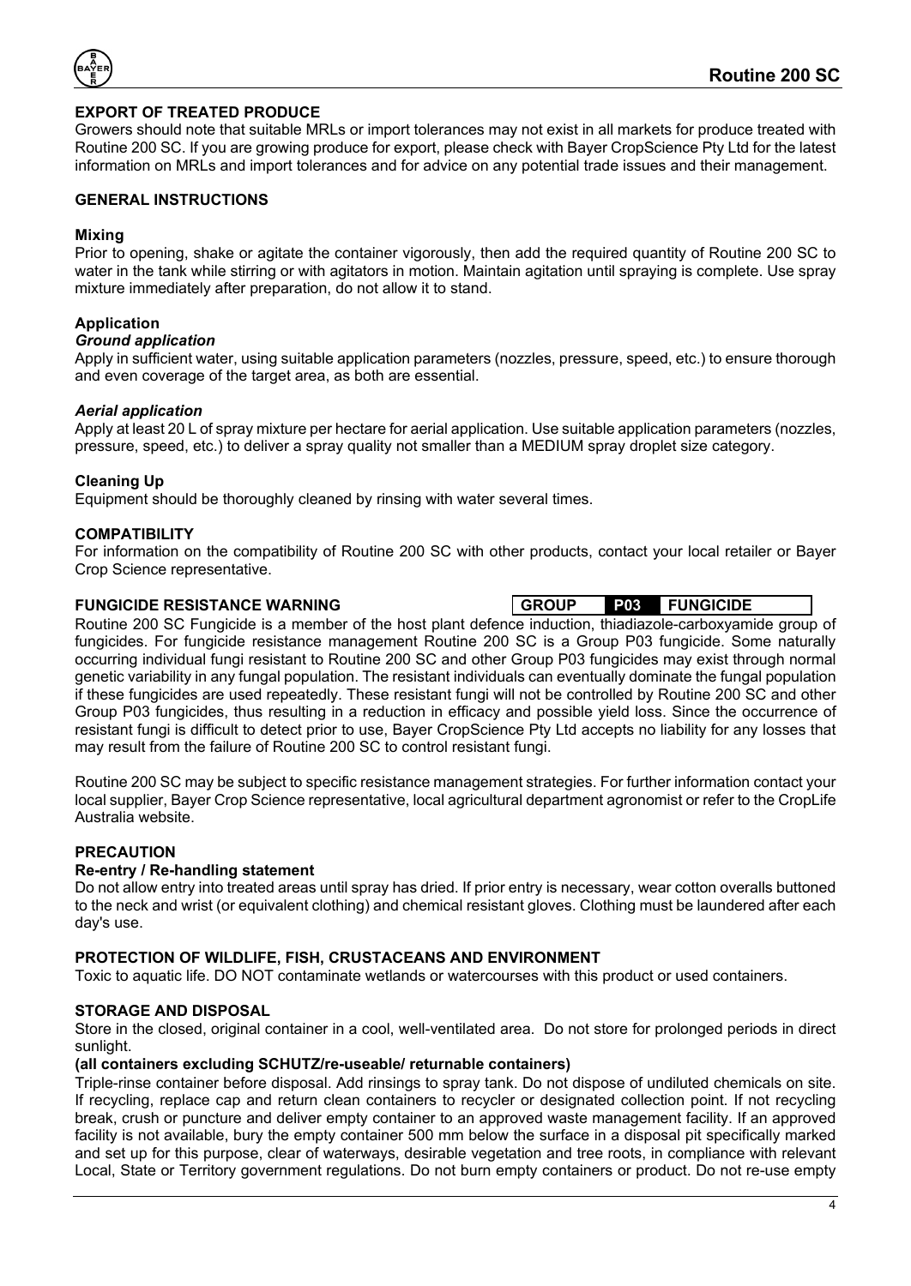

## <span id="page-3-0"></span>**EXPORT OF TREATED PRODUCE**

Growers should note that suitable MRLs or import tolerances may not exist in all markets for produce treated with Routine 200 SC. If you are growing produce for export, please check with Bayer CropScience Pty Ltd for the latest information on MRLs and import tolerances and for advice on any potential trade issues and their management.

#### <span id="page-3-1"></span>**GENERAL INSTRUCTIONS**

#### <span id="page-3-2"></span>**Mixing**

Prior to opening, shake or agitate the container vigorously, then add the required quantity of Routine 200 SC to water in the tank while stirring or with agitators in motion. Maintain agitation until spraying is complete. Use spray mixture immediately after preparation, do not allow it to stand.

### <span id="page-3-3"></span>**Application**

#### *Ground application*

Apply in sufficient water, using suitable application parameters (nozzles, pressure, speed, etc.) to ensure thorough and even coverage of the target area, as both are essential.

#### *Aerial application*

Apply at least 20 L of spray mixture per hectare for aerial application. Use suitable application parameters (nozzles, pressure, speed, etc.) to deliver a spray quality not smaller than a MEDIUM spray droplet size category.

#### **Cleaning Up**

Equipment should be thoroughly cleaned by rinsing with water several times.

#### <span id="page-3-4"></span>**COMPATIBILITY**

For information on the compatibility of Routine 200 SC with other products, contact your local retailer or Bayer Crop Science representative.

#### <span id="page-3-5"></span>**FUNGICIDE RESISTANCE WARNING GROUP P03 FUNGICIDE**

Routine 200 SC Fungicide is a member of the host plant defence induction, thiadiazole-carboxyamide group of fungicides. For fungicide resistance management Routine 200 SC is a Group P03 fungicide. Some naturally occurring individual fungi resistant to Routine 200 SC and other Group P03 fungicides may exist through normal genetic variability in any fungal population. The resistant individuals can eventually dominate the fungal population if these fungicides are used repeatedly. These resistant fungi will not be controlled by Routine 200 SC and other Group P03 fungicides, thus resulting in a reduction in efficacy and possible yield loss. Since the occurrence of resistant fungi is difficult to detect prior to use, Bayer CropScience Pty Ltd accepts no liability for any losses that may result from the failure of Routine 200 SC to control resistant fungi.

Routine 200 SC may be subject to specific resistance management strategies. For further information contact your local supplier, Bayer Crop Science representative, local agricultural department agronomist or refer to the CropLife Australia website.

### <span id="page-3-6"></span>**PRECAUTION**

#### **Re-entry / Re-handling statement**

Do not allow entry into treated areas until spray has dried. If prior entry is necessary, wear cotton overalls buttoned to the neck and wrist (or equivalent clothing) and chemical resistant gloves. Clothing must be laundered after each day's use.

#### <span id="page-3-7"></span>**PROTECTION OF WILDLIFE, FISH, CRUSTACEANS AND ENVIRONMENT**

Toxic to aquatic life. DO NOT contaminate wetlands or watercourses with this product or used containers.

### <span id="page-3-8"></span>**STORAGE AND DISPOSAL**

Store in the closed, original container in a cool, well-ventilated area. Do not store for prolonged periods in direct sunlight.

#### **(all containers excluding SCHUTZ/re-useable/ returnable containers)**

Triple-rinse container before disposal. Add rinsings to spray tank. Do not dispose of undiluted chemicals on site. If recycling, replace cap and return clean containers to recycler or designated collection point. If not recycling break, crush or puncture and deliver empty container to an approved waste management facility. If an approved facility is not available, bury the empty container 500 mm below the surface in a disposal pit specifically marked and set up for this purpose, clear of waterways, desirable vegetation and tree roots, in compliance with relevant Local, State or Territory government regulations. Do not burn empty containers or product. Do not re-use empty